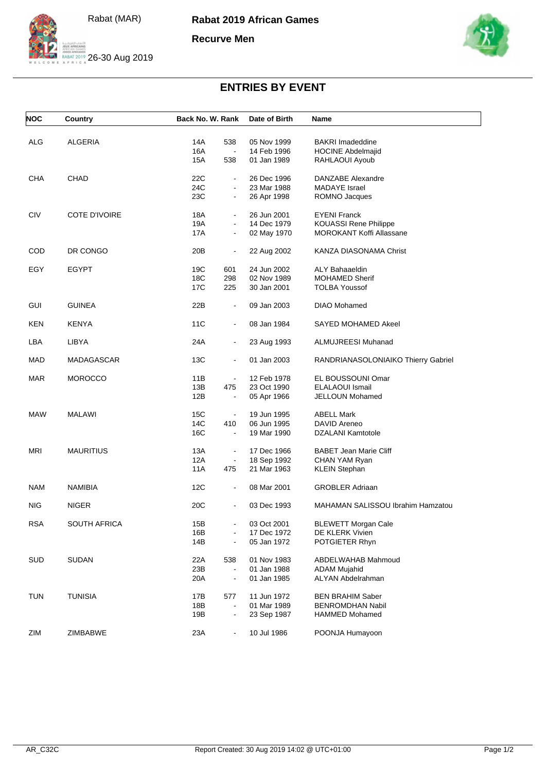

**Recurve Men**





## **ENTRIES BY EVENT**

| <b>NOC</b> | Country              |                 | Back No. W. Rank |             | Name                                |
|------------|----------------------|-----------------|------------------|-------------|-------------------------------------|
|            |                      |                 |                  |             |                                     |
| ALG        | ALGERIA              | 14A             | 538              | 05 Nov 1999 | <b>BAKRI Imadeddine</b>             |
|            |                      | <b>16A</b>      | $\blacksquare$   | 14 Feb 1996 | <b>HOCINE Abdelmajid</b>            |
|            |                      | 15A             | 538              | 01 Jan 1989 | RAHLAOUI Ayoub                      |
| CHA        | CHAD                 | 22C             |                  | 26 Dec 1996 | DANZABE Alexandre                   |
|            |                      | 24C             | $\blacksquare$   | 23 Mar 1988 | <b>MADAYE</b> Israel                |
|            |                      | 23C             | $\blacksquare$   | 26 Apr 1998 | ROMNO Jacques                       |
| CIV        | <b>COTE D'IVOIRE</b> | 18A             | $\blacksquare$   | 26 Jun 2001 | <b>EYENI Franck</b>                 |
|            |                      | 19A             | $\blacksquare$   | 14 Dec 1979 | <b>KOUASSI Rene Philippe</b>        |
|            |                      | 17A             | $\blacksquare$   | 02 May 1970 | <b>MOROKANT Koffi Allassane</b>     |
| COD        | DR CONGO             | 20B             | $\blacksquare$   | 22 Aug 2002 | KANZA DIASONAMA Christ              |
| EGY        | <b>EGYPT</b>         | 19C             | 601              | 24 Jun 2002 | <b>ALY Bahaaeldin</b>               |
|            |                      | 18C             | 298              | 02 Nov 1989 | <b>MOHAMED Sherif</b>               |
|            |                      | 17 <sub>C</sub> | 225              | 30 Jan 2001 | <b>TOLBA Youssof</b>                |
|            |                      |                 |                  |             |                                     |
| GUI        | <b>GUINEA</b>        | 22B             | $\blacksquare$   | 09 Jan 2003 | <b>DIAO</b> Mohamed                 |
| KEN        | <b>KENYA</b>         | 11C             | $\blacksquare$   | 08 Jan 1984 | SAYED MOHAMED Akeel                 |
| LBA        | LIBYA                | 24A             | $\blacksquare$   | 23 Aug 1993 | ALMUJREESI Muhanad                  |
| MAD        | MADAGASCAR           | 13C             | $\blacksquare$   | 01 Jan 2003 | RANDRIANASOLONIAIKO Thierry Gabriel |
| <b>MAR</b> | <b>MOROCCO</b>       | 11B             | $\blacksquare$   | 12 Feb 1978 | EL BOUSSOUNI Omar                   |
|            |                      | 13B             | 475              | 23 Oct 1990 | <b>ELALAOUI Ismail</b>              |
|            |                      | 12B             | $\blacksquare$   | 05 Apr 1966 | <b>JELLOUN Mohamed</b>              |
|            |                      |                 |                  |             |                                     |
| <b>MAW</b> | <b>MALAWI</b>        | 15C             |                  | 19 Jun 1995 | <b>ABELL Mark</b>                   |
|            |                      | 14C             | 410              | 06 Jun 1995 | DAVID Areneo                        |
|            |                      | 16C             | $\blacksquare$   | 19 Mar 1990 | DZALANI Kamtotole                   |
| <b>MRI</b> | <b>MAURITIUS</b>     | 13A             | $\blacksquare$   | 17 Dec 1966 | BABET Jean Marie Cliff              |
|            |                      | 12A             | $\blacksquare$   | 18 Sep 1992 | CHAN YAM Ryan                       |
|            |                      | 11A             | 475              | 21 Mar 1963 | <b>KLEIN Stephan</b>                |
| <b>NAM</b> | <b>NAMIBIA</b>       | 12C             | $\blacksquare$   | 08 Mar 2001 | <b>GROBLER Adriaan</b>              |
|            |                      |                 |                  |             |                                     |
| NIG        | <b>NIGER</b>         | 20C             | $\blacksquare$   | 03 Dec 1993 | MAHAMAN SALISSOU Ibrahim Hamzatou   |
| <b>RSA</b> | SOUTH AFRICA         | 15B             |                  | 03 Oct 2001 | <b>BLEWETT Morgan Cale</b>          |
|            |                      | 16B             |                  | 17 Dec 1972 | DE KLERK Vivien                     |
|            |                      | 14B             |                  | 05 Jan 1972 | POTGIETER Rhyn                      |
| <b>SUD</b> | <b>SUDAN</b>         | 22A             | 538              | 01 Nov 1983 | <b>ABDELWAHAB Mahmoud</b>           |
|            |                      | 23B             | $\blacksquare$   | 01 Jan 1988 | <b>ADAM Mujahid</b>                 |
|            |                      | 20A             | $\blacksquare$   | 01 Jan 1985 | ALYAN Abdelrahman                   |
| <b>TUN</b> | <b>TUNISIA</b>       | 17B             | 577              | 11 Jun 1972 | <b>BEN BRAHIM Saber</b>             |
|            |                      | 18B             | $\blacksquare$   | 01 Mar 1989 | <b>BENROMDHAN Nabil</b>             |
|            |                      | 19B             |                  | 23 Sep 1987 | <b>HAMMED Mohamed</b>               |
| ZIM        | ZIMBABWE             | 23A             | $\blacksquare$   | 10 Jul 1986 | POONJA Humayoon                     |